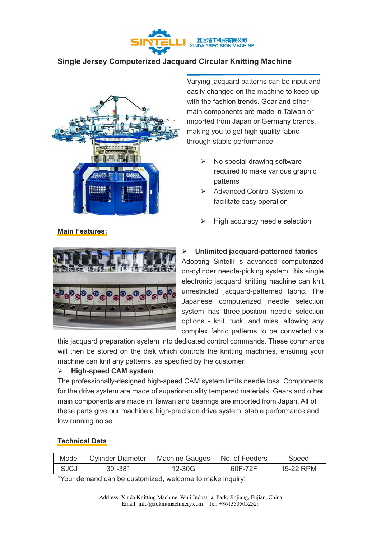

## **Single Jersey Computerized Jacquard Circular Knitting Machine**



Varying jacquard patterns can be input and easily changed on the machine to keep up with the fashion trends. Gear and other main components are made in Taiwan or imported from Japan or Germany brands, making you to get high quality fabric through stable performance.

- No special drawing software required to make various graphic patterns
- Advanced Control System to facilitate easy operation
- High accuracy needle selection



## **Unlimited jacquard-patterned fabrics**

Adopting Sintelli' s advanced computerized on-cylinder needle-picking system, this single electronic jacquard knitting machine can knit unrestricted jacquard-patterned fabric. The Japanese computerized needle selection system has three-position needle selection options - knit, tuck, and miss, allowing any complex fabric patterns to be converted via

this jacquard preparation system into dedicated control commands. These commands will then be stored on the disk which controls the knitting machines, ensuring your machine can knit any patterns, as specified by the customer.

## **High-speed CAM system**

The professionally-designed high-speed CAM system limits needle loss. Components for the drive system are made of superior-quality tempered materials. Gears and other main components are made in Taiwan and bearings are imported from Japan. All of these parts give our machine a high-precision drive system, stable performance and low running noise.

## **Technical Data**

**Main Features:**

| Model | Cylinder Diameter  | Machine Gauges | No. of Feeders | speed             |
|-------|--------------------|----------------|----------------|-------------------|
| SJCJ  | າວ"<br>30"-<br>-၁၀ | -30G           | 60F<br>$\sim$  | RPM<br>$^{\circ}$ |

\*Your demand can be customized, welcome to make inquiry!